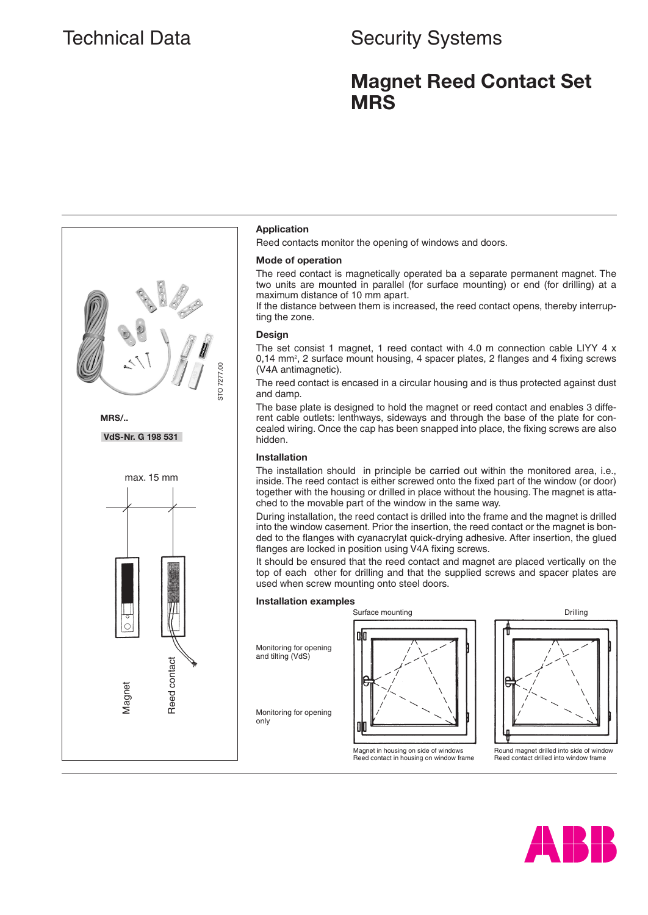# Technical Data Security Systems

# **Magnet Reed Contact Set MRS**



## **Application**

Reed contacts monitor the opening of windows and doors.

### **Mode of operation**

The reed contact is magnetically operated ba a separate permanent magnet. The two units are mounted in parallel (for surface mounting) or end (for drilling) at a maximum distance of 10 mm apart.

If the distance between them is increased, the reed contact opens, thereby interrupting the zone.

#### **Design**

The set consist 1 magnet, 1 reed contact with 4.0 m connection cable LIYY 4 x 0,14 mm<sup>2</sup>, 2 surface mount housing, 4 spacer plates, 2 flanges and 4 fixing screws (V4A antimagnetic).

The reed contact is encased in a circular housing and is thus protected against dust and damp.

The base plate is designed to hold the magnet or reed contact and enables 3 different cable outlets: lenthways, sideways and through the base of the plate for concealed wiring. Once the cap has been snapped into place, the fixing screws are also hidden.

## **Installation**

The installation should in principle be carried out within the monitored area, i.e., inside. The reed contact is either screwed onto the fixed part of the window (or door) together with the housing or drilled in place without the housing. The magnet is attached to the movable part of the window in the same way.

During installation, the reed contact is drilled into the frame and the magnet is drilled into the window casement. Prior the insertion, the reed contact or the magnet is bonded to the flanges with cyanacrylat quick-drying adhesive. After insertion, the glued flanges are locked in position using V4A fixing screws.

It should be ensured that the reed contact and magnet are placed vertically on the top of each other for drilling and that the supplied screws and spacer plates are used when screw mounting onto steel doors.

#### **Installation examples**

Monitoring for opening and tilting (VdS)

only

010

Magnet in housing on side of windows Reed contact in housing on window frame



Round magnet drilled into side of window Reed contact drilled into window frame